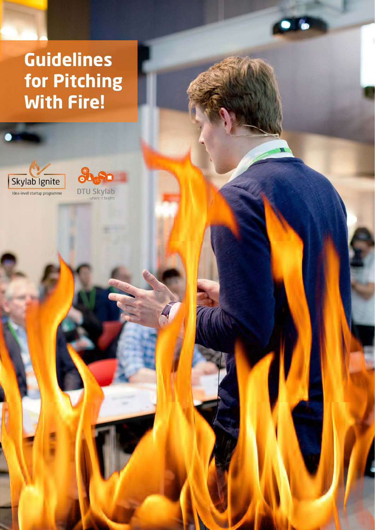# **Guidelines for Pitching With Fire!**



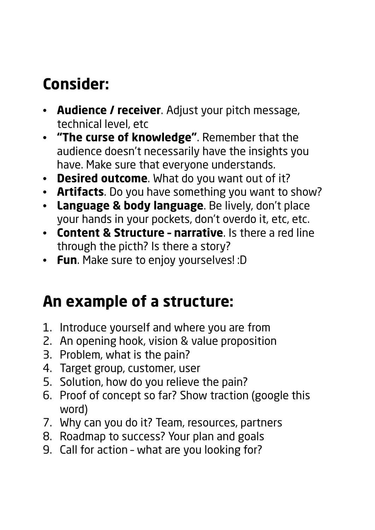## **Consider:**

- **Audience / receiver**. Adjust your pitch message, technical level, etc
- **"The curse of knowledge"**. Remember that the audience doesn't necessarily have the insights you have. Make sure that everyone understands.
- **Desired outcome**. What do you want out of it?
- **Artifacts**. Do you have something you want to show?
- **Language & body language**. Be lively, don't place your hands in your pockets, don't overdo it, etc, etc.
- **Content & Structure narrative**. Is there a red line through the picth? Is there a story?
- **Fun**. Make sure to enjoy yourselves! :D

### **An example of a structure:**

- 1. Introduce yourself and where you are from
- 2. An opening hook, vision & value proposition
- 3. Problem, what is the pain?
- 4. Target group, customer, user
- 5. Solution, how do you relieve the pain?
- 6. Proof of concept so far? Show traction (google this word)
- 7. Why can you do it? Team, resources, partners
- 8. Roadmap to success? Your plan and goals
- 9. Call for action what are you looking for?